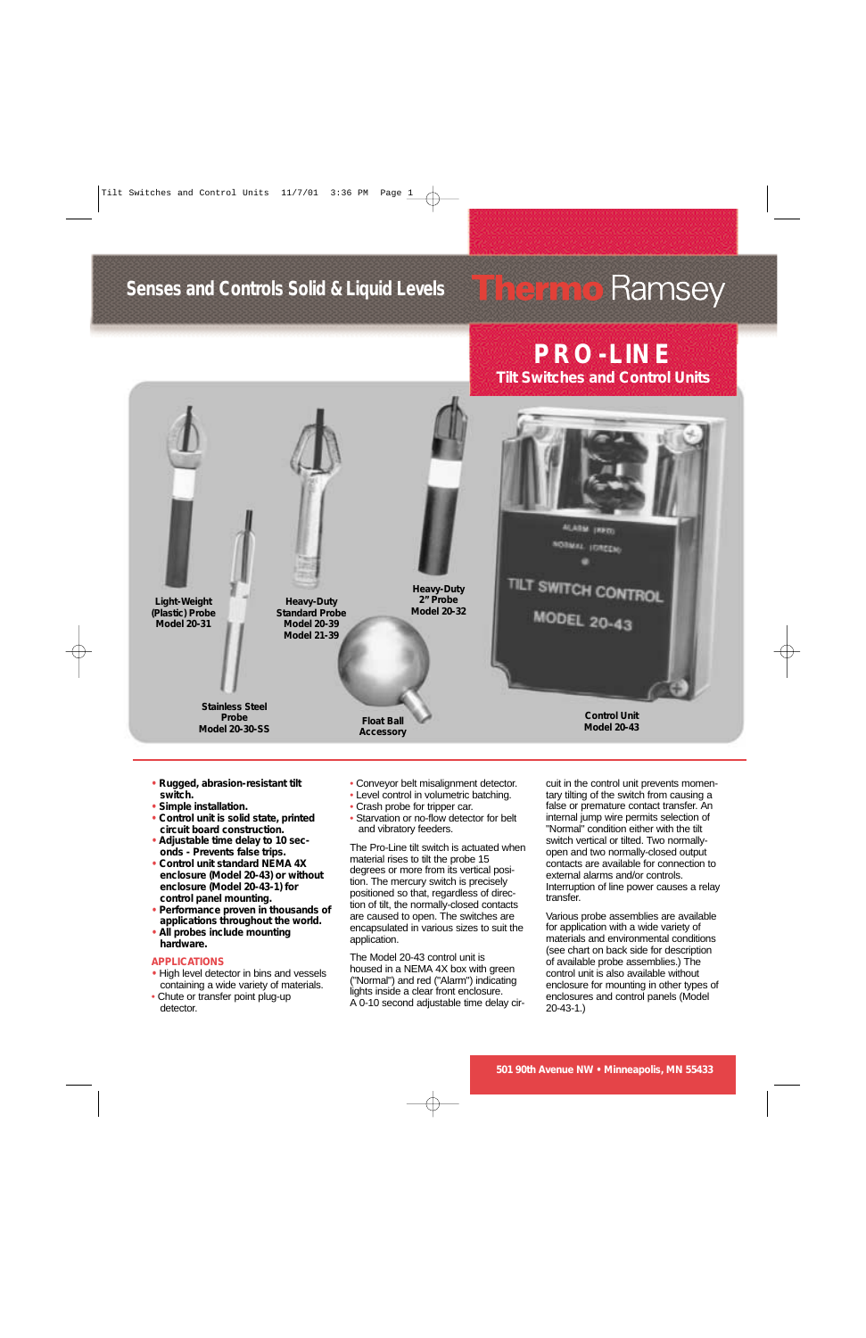## **Senses and Controls Solid & Liquid Levels**

# **Therme** Ramsey

**PRO-LINE Tilt Switches and Control Units**



- **• Rugged, abrasion-resistant tilt switch.**
- **• Simple installation.**
- **• Control unit is solid state, printed circuit board construction.**
- **• Adjustable time delay to 10 seconds - Prevents false trips.**
- **• Control unit standard NEMA 4X enclosure (Model 20-43) or without enclosure (Model 20-43-1) for control panel mounting.**
- **• Performance proven in thousands of applications throughout the world.**
- **• All probes include mounting hardware.**

#### **APPLICATIONS**

- **•** High level detector in bins and vessels containing a wide variety of materials.
- Chute or transfer point plug-up detector.
- Conveyor belt misalignment detector.
- Level control in volumetric batching.
- Crash probe for tripper car.
- Starvation or no-flow detector for belt and vibratory feeders.

The Pro-Line tilt switch is actuated when material rises to tilt the probe 15 degrees or more from its vertical position. The mercury switch is precisely positioned so that, regardless of direction of tilt, the normally-closed contacts are caused to open. The switches are encapsulated in various sizes to suit the application.

The Model 20-43 control unit is housed in a NEMA 4X box with green ("Normal") and red ("Alarm") indicating lights inside a clear front enclosure. A 0-10 second adjustable time delay circuit in the control unit prevents momentary tilting of the switch from causing a false or premature contact transfer. An internal jump wire permits selection of "Normal" condition either with the tilt switch vertical or tilted. Two normallyopen and two normally-closed output contacts are available for connection to external alarms and/or controls. Interruption of line power causes a relay transfer.

Various probe assemblies are available for application with a wide variety of materials and environmental conditions (see chart on back side for description of available probe assemblies.) The control unit is also available without enclosure for mounting in other types of enclosures and control panels (Model 20-43-1.)